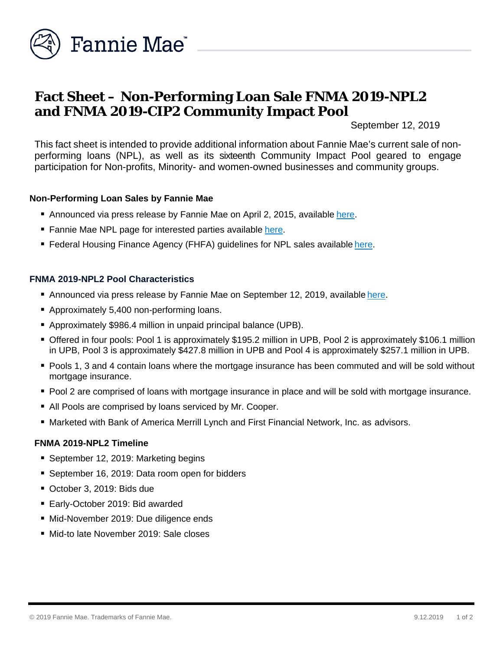

# **Fact Sheet – Non-Performing Loan Sale FNMA 2019-NPL2 and FNMA 2019-CIP2 Community Impact Pool**

September 12, 2019

This fact sheet is intended to provide additional information about Fannie Mae's current sale of nonperforming loans (NPL), as well as its sixteenth Community Impact Pool geared to engage participation for Non-profits, Minority- and women-owned businesses and community groups.

### **Non-Performing Loan Sales by Fannie Mae**

- Announced via press release by Fannie Mae on April 2, 2015, available [here.](http://www.fanniemae.com/portal/media/financial-news/2015/6233.html)
- Fannie Mae NPL page for interested parties available [here.](http://www.fanniemae.com/portal/funding-the-market/npl/index.html)
- Federal Housing Finance Agency (FHFA) guidelines for NPL sales available [here.](http://www.fhfa.gov/Media/PublicAffairs/Pages/Non-Performing-Loan-%28NPL%29-Sale-Requirements.aspx)

### **FNMA 2019-NPL2 Pool Characteristics**

- Announced via press release by Fannie Mae on September 12, 2019, available [here.](https://www.fanniemae.com/portal/media/financial-news/2019/non-performing-loan-sale-6923.html)
- Approximately 5,400 non-performing loans.
- Approximately \$986.4 million in unpaid principal balance (UPB).
- Offered in four pools: Pool 1 is approximately \$195.2 million in UPB, Pool 2 is approximately \$106.1 million in UPB, Pool 3 is approximately \$427.8 million in UPB and Pool 4 is approximately \$257.1 million in UPB.
- **Pools 1, 3 and 4 contain loans where the mortgage insurance has been commuted and will be sold without** mortgage insurance.
- **Pool 2 are comprised of loans with mortgage insurance in place and will be sold with mortgage insurance.**
- All Pools are comprised by loans serviced by Mr. Cooper.
- Marketed with Bank of America Merrill Lynch and First Financial Network, Inc. as advisors.

### **FNMA 2019-NPL2 Timeline**

- September 12, 2019: Marketing begins
- September 16, 2019: Data room open for bidders
- October 3, 2019: Bids due
- Early-October 2019: Bid awarded
- Mid-November 2019: Due diligence ends
- Mid-to late November 2019: Sale closes